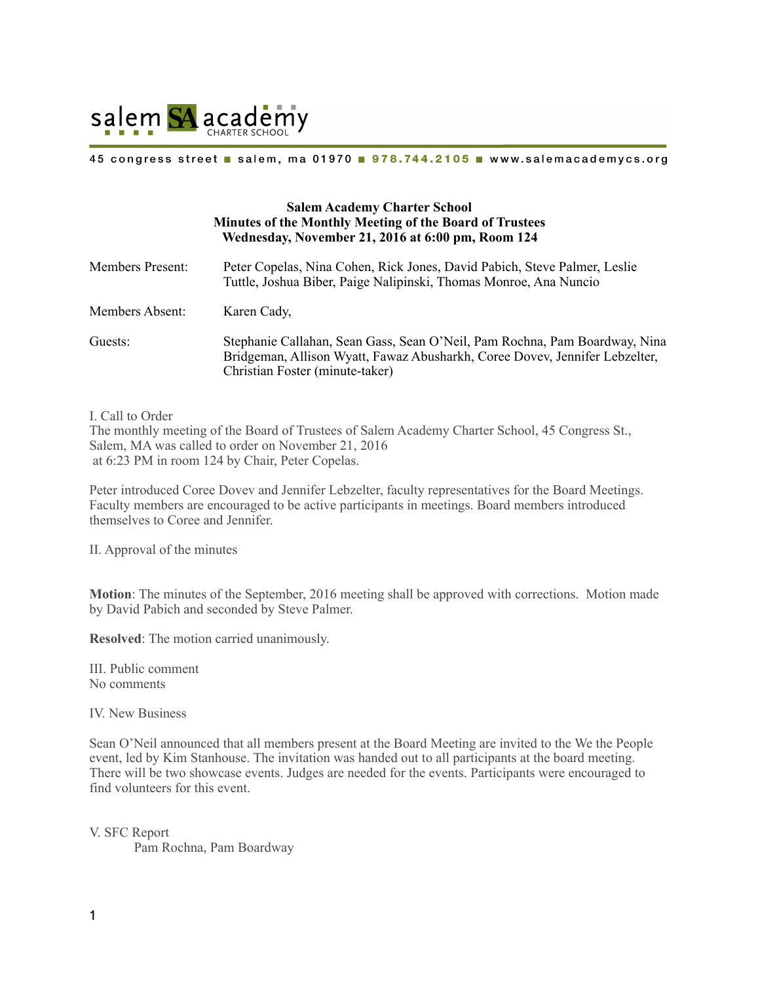

### 45 congress street salem, ma 01970 978.744.2105 www.salemacademycs.org

# **Salem Academy Charter School Minutes of the Monthly Meeting of the Board of Trustees Wednesday, November 21, 2016 at 6:00 pm, Room 124**

| <b>Members Present:</b> | Peter Copelas, Nina Cohen, Rick Jones, David Pabich, Steve Palmer, Leslie<br>Tuttle, Joshua Biber, Paige Nalipinski, Thomas Monroe, Ana Nuncio                                               |
|-------------------------|----------------------------------------------------------------------------------------------------------------------------------------------------------------------------------------------|
| Members Absent:         | Karen Cady,                                                                                                                                                                                  |
| Guests:                 | Stephanie Callahan, Sean Gass, Sean O'Neil, Pam Rochna, Pam Boardway, Nina<br>Bridgeman, Allison Wyatt, Fawaz Abusharkh, Coree Dovey, Jennifer Lebzelter,<br>Christian Foster (minute-taker) |

I. Call to Order

The monthly meeting of the Board of Trustees of Salem Academy Charter School, 45 Congress St., Salem, MA was called to order on November 21, 2016 at 6:23 PM in room 124 by Chair, Peter Copelas.

Peter introduced Coree Dovev and Jennifer Lebzelter, faculty representatives for the Board Meetings. Faculty members are encouraged to be active participants in meetings. Board members introduced themselves to Coree and Jennifer.

II. Approval of the minutes

**Motion**: The minutes of the September, 2016 meeting shall be approved with corrections. Motion made by David Pabich and seconded by Steve Palmer.

**Resolved**: The motion carried unanimously.

III. Public comment No comments

IV. New Business

Sean O'Neil announced that all members present at the Board Meeting are invited to the We the People event, led by Kim Stanhouse. The invitation was handed out to all participants at the board meeting. There will be two showcase events. Judges are needed for the events. Participants were encouraged to find volunteers for this event.

V. SFC Report Pam Rochna, Pam Boardway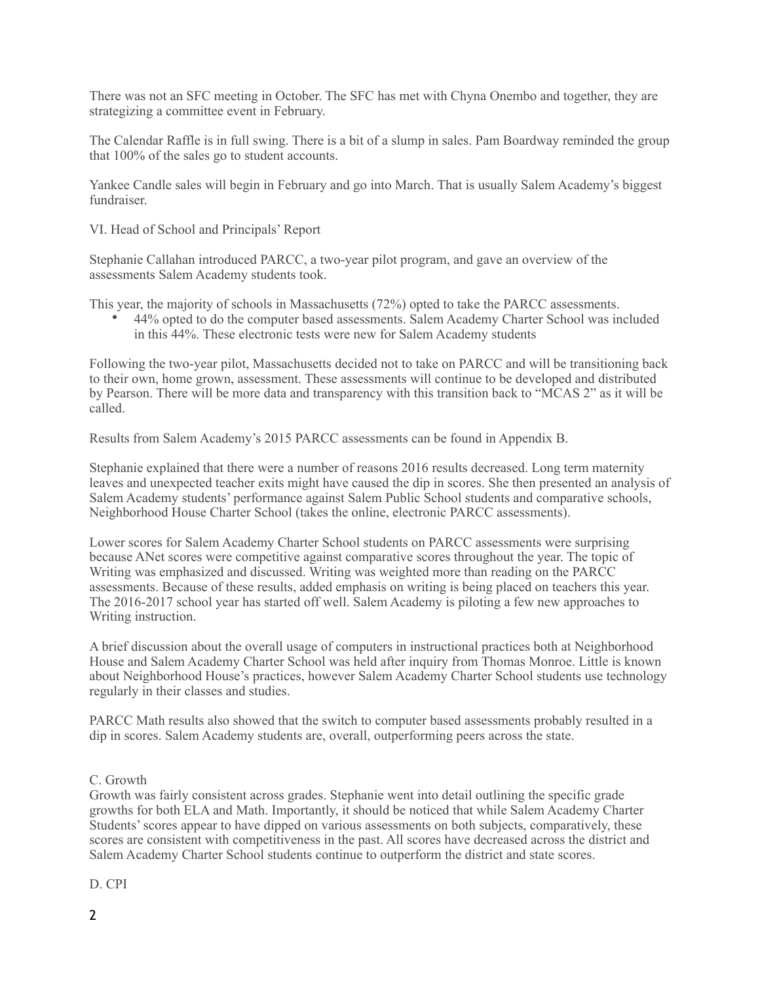There was not an SFC meeting in October. The SFC has met with Chyna Onembo and together, they are strategizing a committee event in February.

The Calendar Raffle is in full swing. There is a bit of a slump in sales. Pam Boardway reminded the group that 100% of the sales go to student accounts.

Yankee Candle sales will begin in February and go into March. That is usually Salem Academy's biggest fundraiser.

VI. Head of School and Principals' Report

Stephanie Callahan introduced PARCC, a two-year pilot program, and gave an overview of the assessments Salem Academy students took.

This year, the majority of schools in Massachusetts (72%) opted to take the PARCC assessments.

• 44% opted to do the computer based assessments. Salem Academy Charter School was included in this 44%. These electronic tests were new for Salem Academy students

Following the two-year pilot, Massachusetts decided not to take on PARCC and will be transitioning back to their own, home grown, assessment. These assessments will continue to be developed and distributed by Pearson. There will be more data and transparency with this transition back to "MCAS 2" as it will be called.

Results from Salem Academy's 2015 PARCC assessments can be found in Appendix B.

Stephanie explained that there were a number of reasons 2016 results decreased. Long term maternity leaves and unexpected teacher exits might have caused the dip in scores. She then presented an analysis of Salem Academy students' performance against Salem Public School students and comparative schools, Neighborhood House Charter School (takes the online, electronic PARCC assessments).

Lower scores for Salem Academy Charter School students on PARCC assessments were surprising because ANet scores were competitive against comparative scores throughout the year. The topic of Writing was emphasized and discussed. Writing was weighted more than reading on the PARCC assessments. Because of these results, added emphasis on writing is being placed on teachers this year. The 2016-2017 school year has started off well. Salem Academy is piloting a few new approaches to Writing instruction.

A brief discussion about the overall usage of computers in instructional practices both at Neighborhood House and Salem Academy Charter School was held after inquiry from Thomas Monroe. Little is known about Neighborhood House's practices, however Salem Academy Charter School students use technology regularly in their classes and studies.

PARCC Math results also showed that the switch to computer based assessments probably resulted in a dip in scores. Salem Academy students are, overall, outperforming peers across the state.

### C. Growth

Growth was fairly consistent across grades. Stephanie went into detail outlining the specific grade growths for both ELA and Math. Importantly, it should be noticed that while Salem Academy Charter Students' scores appear to have dipped on various assessments on both subjects, comparatively, these scores are consistent with competitiveness in the past. All scores have decreased across the district and Salem Academy Charter School students continue to outperform the district and state scores.

D. CPI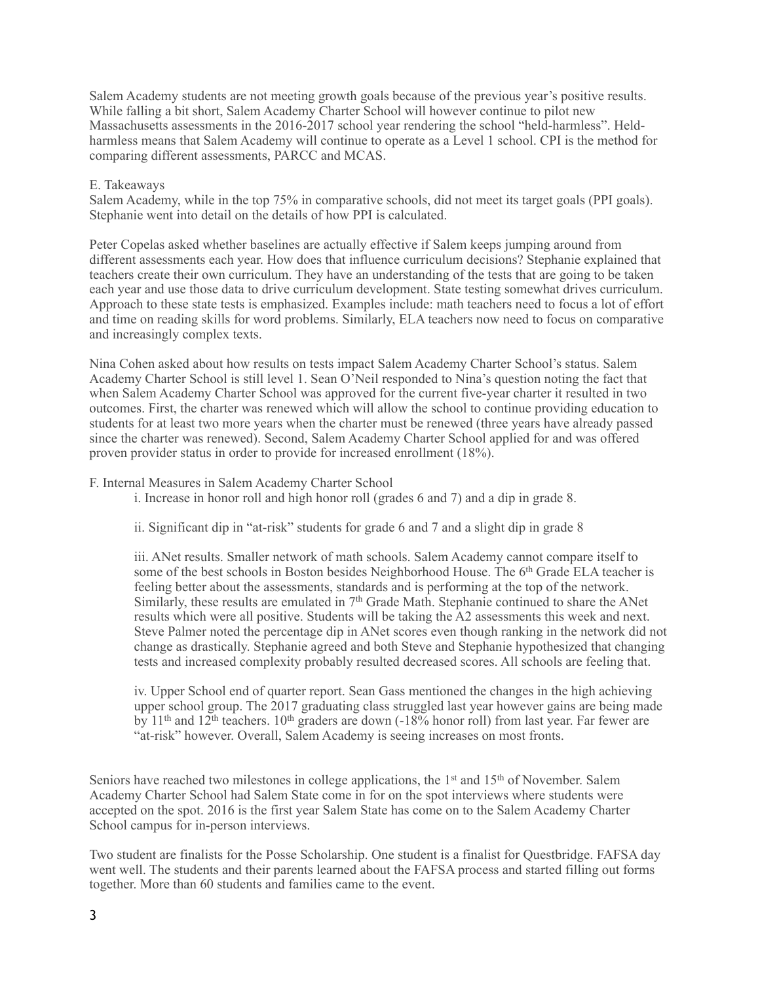Salem Academy students are not meeting growth goals because of the previous year's positive results. While falling a bit short, Salem Academy Charter School will however continue to pilot new Massachusetts assessments in the 2016-2017 school year rendering the school "held-harmless". Heldharmless means that Salem Academy will continue to operate as a Level 1 school. CPI is the method for comparing different assessments, PARCC and MCAS.

# E. Takeaways

Salem Academy, while in the top 75% in comparative schools, did not meet its target goals (PPI goals). Stephanie went into detail on the details of how PPI is calculated.

Peter Copelas asked whether baselines are actually effective if Salem keeps jumping around from different assessments each year. How does that influence curriculum decisions? Stephanie explained that teachers create their own curriculum. They have an understanding of the tests that are going to be taken each year and use those data to drive curriculum development. State testing somewhat drives curriculum. Approach to these state tests is emphasized. Examples include: math teachers need to focus a lot of effort and time on reading skills for word problems. Similarly, ELA teachers now need to focus on comparative and increasingly complex texts.

Nina Cohen asked about how results on tests impact Salem Academy Charter School's status. Salem Academy Charter School is still level 1. Sean O'Neil responded to Nina's question noting the fact that when Salem Academy Charter School was approved for the current five-year charter it resulted in two outcomes. First, the charter was renewed which will allow the school to continue providing education to students for at least two more years when the charter must be renewed (three years have already passed since the charter was renewed). Second, Salem Academy Charter School applied for and was offered proven provider status in order to provide for increased enrollment (18%).

### F. Internal Measures in Salem Academy Charter School

i. Increase in honor roll and high honor roll (grades 6 and 7) and a dip in grade 8.

ii. Significant dip in "at-risk" students for grade 6 and 7 and a slight dip in grade 8

iii. ANet results. Smaller network of math schools. Salem Academy cannot compare itself to some of the best schools in Boston besides Neighborhood House. The 6<sup>th</sup> Grade ELA teacher is feeling better about the assessments, standards and is performing at the top of the network. Similarly, these results are emulated in 7th Grade Math. Stephanie continued to share the ANet results which were all positive. Students will be taking the A2 assessments this week and next. Steve Palmer noted the percentage dip in ANet scores even though ranking in the network did not change as drastically. Stephanie agreed and both Steve and Stephanie hypothesized that changing tests and increased complexity probably resulted decreased scores. All schools are feeling that.

iv. Upper School end of quarter report. Sean Gass mentioned the changes in the high achieving upper school group. The 2017 graduating class struggled last year however gains are being made by 11<sup>th</sup> and 12<sup>th</sup> teachers. 10<sup>th</sup> graders are down (-18% honor roll) from last year. Far fewer are "at-risk" however. Overall, Salem Academy is seeing increases on most fronts.

Seniors have reached two milestones in college applications, the  $1<sup>st</sup>$  and  $15<sup>th</sup>$  of November. Salem Academy Charter School had Salem State come in for on the spot interviews where students were accepted on the spot. 2016 is the first year Salem State has come on to the Salem Academy Charter School campus for in-person interviews.

Two student are finalists for the Posse Scholarship. One student is a finalist for Questbridge. FAFSA day went well. The students and their parents learned about the FAFSA process and started filling out forms together. More than 60 students and families came to the event.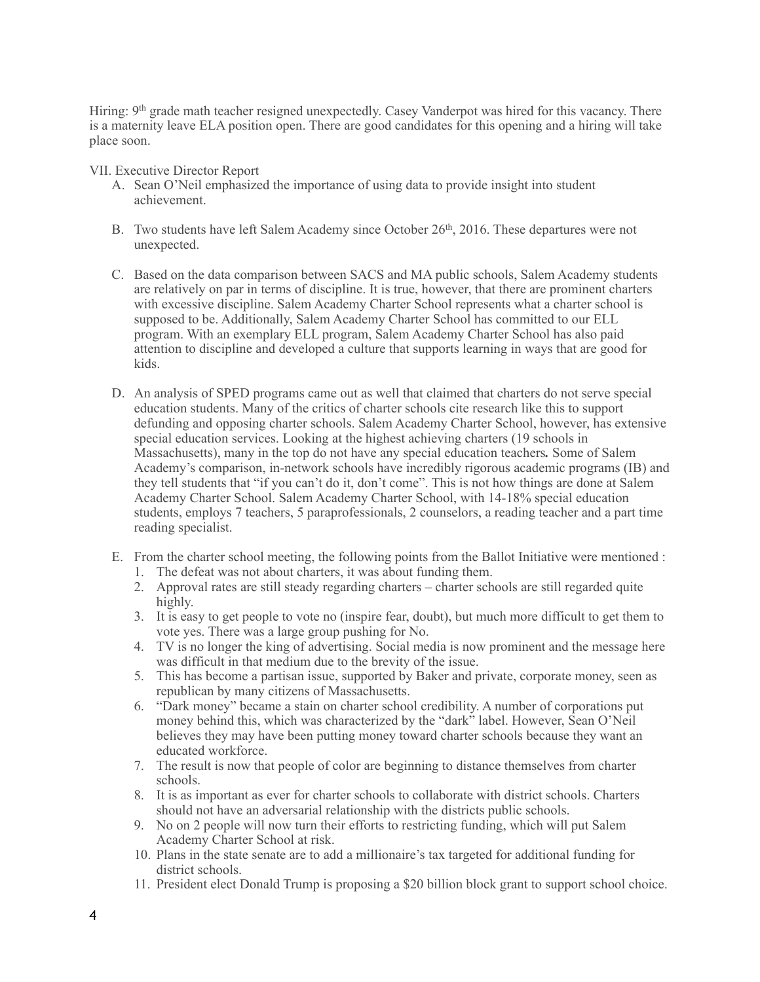Hiring: 9<sup>th</sup> grade math teacher resigned unexpectedly. Casey Vanderpot was hired for this vacancy. There is a maternity leave ELA position open. There are good candidates for this opening and a hiring will take place soon.

VII. Executive Director Report

- A. Sean O'Neil emphasized the importance of using data to provide insight into student achievement.
- B. Two students have left Salem Academy since October 26<sup>th</sup>, 2016. These departures were not unexpected.
- C. Based on the data comparison between SACS and MA public schools, Salem Academy students are relatively on par in terms of discipline. It is true, however, that there are prominent charters with excessive discipline. Salem Academy Charter School represents what a charter school is supposed to be. Additionally, Salem Academy Charter School has committed to our ELL program. With an exemplary ELL program, Salem Academy Charter School has also paid attention to discipline and developed a culture that supports learning in ways that are good for kids.
- D. An analysis of SPED programs came out as well that claimed that charters do not serve special education students. Many of the critics of charter schools cite research like this to support defunding and opposing charter schools. Salem Academy Charter School, however, has extensive special education services. Looking at the highest achieving charters (19 schools in Massachusetts), many in the top do not have any special education teachers*.* Some of Salem Academy's comparison, in-network schools have incredibly rigorous academic programs (IB) and they tell students that "if you can't do it, don't come". This is not how things are done at Salem Academy Charter School. Salem Academy Charter School, with 14-18% special education students, employs 7 teachers, 5 paraprofessionals, 2 counselors, a reading teacher and a part time reading specialist.
- E. From the charter school meeting, the following points from the Ballot Initiative were mentioned :
	- 1. The defeat was not about charters, it was about funding them.
	- 2. Approval rates are still steady regarding charters charter schools are still regarded quite highly.
	- 3. It is easy to get people to vote no (inspire fear, doubt), but much more difficult to get them to vote yes. There was a large group pushing for No.
	- 4. TV is no longer the king of advertising. Social media is now prominent and the message here was difficult in that medium due to the brevity of the issue.
	- 5. This has become a partisan issue, supported by Baker and private, corporate money, seen as republican by many citizens of Massachusetts.
	- 6. "Dark money" became a stain on charter school credibility. A number of corporations put money behind this, which was characterized by the "dark" label. However, Sean O'Neil believes they may have been putting money toward charter schools because they want an educated workforce.
	- 7. The result is now that people of color are beginning to distance themselves from charter schools.
	- 8. It is as important as ever for charter schools to collaborate with district schools. Charters should not have an adversarial relationship with the districts public schools.
	- 9. No on 2 people will now turn their efforts to restricting funding, which will put Salem Academy Charter School at risk.
	- 10. Plans in the state senate are to add a millionaire's tax targeted for additional funding for district schools.
	- 11. President elect Donald Trump is proposing a \$20 billion block grant to support school choice.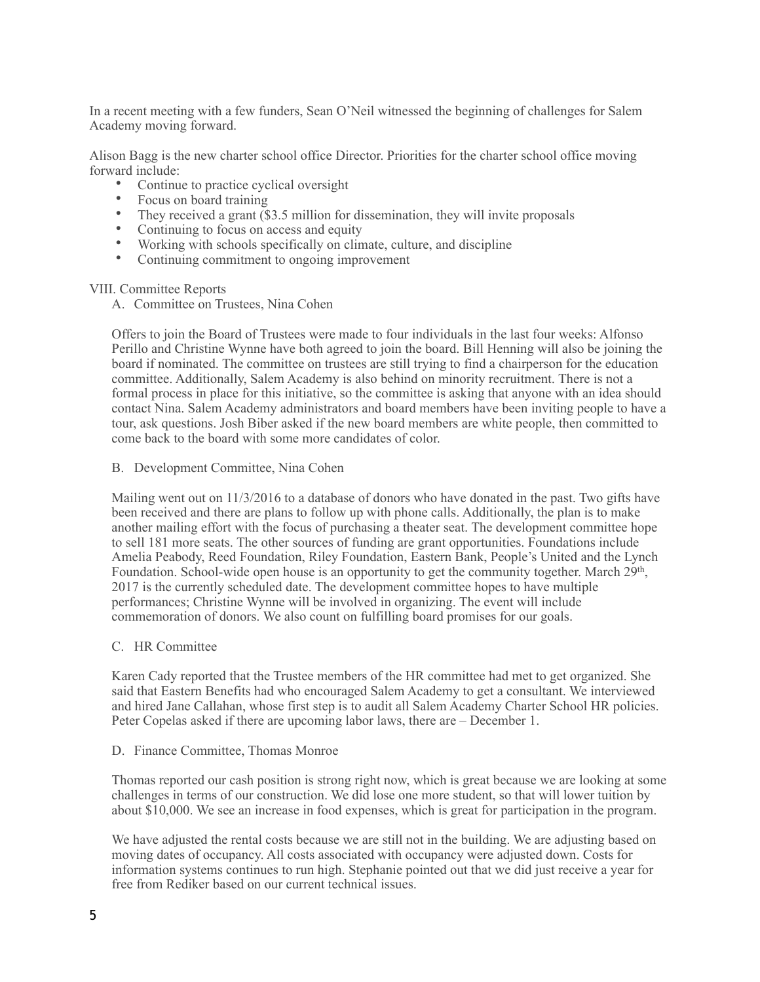In a recent meeting with a few funders, Sean O'Neil witnessed the beginning of challenges for Salem Academy moving forward.

Alison Bagg is the new charter school office Director. Priorities for the charter school office moving forward include:

- Continue to practice cyclical oversight
- Focus on board training
- They received a grant (\$3.5 million for dissemination, they will invite proposals
- Continuing to focus on access and equity
- Working with schools specifically on climate, culture, and discipline
- Continuing commitment to ongoing improvement

### VIII. Committee Reports

A. Committee on Trustees, Nina Cohen

Offers to join the Board of Trustees were made to four individuals in the last four weeks: Alfonso Perillo and Christine Wynne have both agreed to join the board. Bill Henning will also be joining the board if nominated. The committee on trustees are still trying to find a chairperson for the education committee. Additionally, Salem Academy is also behind on minority recruitment. There is not a formal process in place for this initiative, so the committee is asking that anyone with an idea should contact Nina. Salem Academy administrators and board members have been inviting people to have a tour, ask questions. Josh Biber asked if the new board members are white people, then committed to come back to the board with some more candidates of color.

B. Development Committee, Nina Cohen

Mailing went out on 11/3/2016 to a database of donors who have donated in the past. Two gifts have been received and there are plans to follow up with phone calls. Additionally, the plan is to make another mailing effort with the focus of purchasing a theater seat. The development committee hope to sell 181 more seats. The other sources of funding are grant opportunities. Foundations include Amelia Peabody, Reed Foundation, Riley Foundation, Eastern Bank, People's United and the Lynch Foundation. School-wide open house is an opportunity to get the community together. March 29th, 2017 is the currently scheduled date. The development committee hopes to have multiple performances; Christine Wynne will be involved in organizing. The event will include commemoration of donors. We also count on fulfilling board promises for our goals.

C. HR Committee

Karen Cady reported that the Trustee members of the HR committee had met to get organized. She said that Eastern Benefits had who encouraged Salem Academy to get a consultant. We interviewed and hired Jane Callahan, whose first step is to audit all Salem Academy Charter School HR policies. Peter Copelas asked if there are upcoming labor laws, there are – December 1.

D. Finance Committee, Thomas Monroe

Thomas reported our cash position is strong right now, which is great because we are looking at some challenges in terms of our construction. We did lose one more student, so that will lower tuition by about \$10,000. We see an increase in food expenses, which is great for participation in the program.

We have adjusted the rental costs because we are still not in the building. We are adjusting based on moving dates of occupancy. All costs associated with occupancy were adjusted down. Costs for information systems continues to run high. Stephanie pointed out that we did just receive a year for free from Rediker based on our current technical issues.